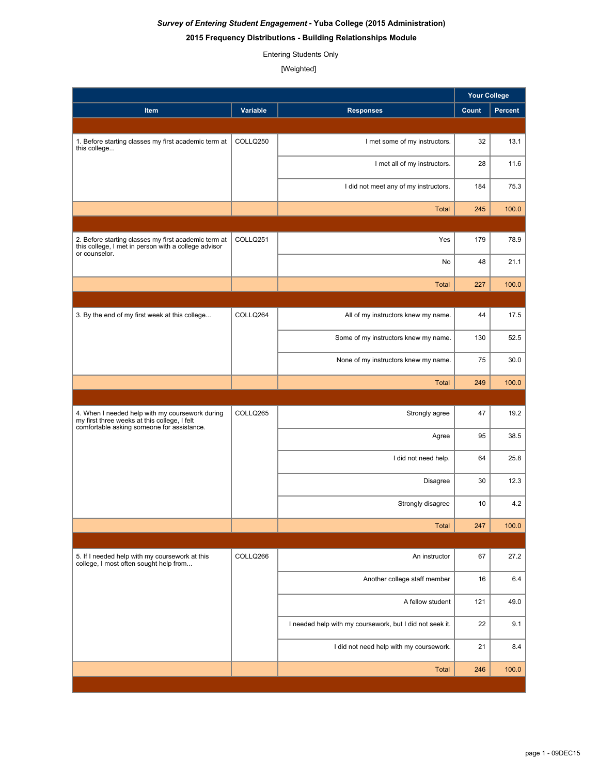## *Survey of Entering Student Engagement* **- Yuba College (2015 Administration)**

### **2015 Frequency Distributions - Building Relationships Module**

Entering Students Only

[Weighted]

| Percent<br>Variable<br>Count<br>Item<br><b>Responses</b><br>COLLQ250<br>32<br>13.1<br>1. Before starting classes my first academic term at<br>I met some of my instructors.<br>this college<br>11.6<br>I met all of my instructors.<br>28<br>184<br>I did not meet any of my instructors.<br>75.3<br>100.0<br><b>Total</b><br>245<br>COLLQ251<br>179<br>Yes<br>78.9<br>2. Before starting classes my first academic term at<br>this college, I met in person with a college advisor<br>or counselor.<br>No<br>48<br>21.1<br><b>Total</b><br>227<br>100.0<br>COLLQ264<br>17.5<br>3. By the end of my first week at this college<br>All of my instructors knew my name.<br>44<br>130<br>52.5<br>Some of my instructors knew my name.<br>75<br>None of my instructors knew my name.<br>30.0<br>100.0<br><b>Total</b><br>249<br>COLLQ265<br>47<br>Strongly agree<br>19.2<br>4. When I needed help with my coursework during<br>my first three weeks at this college, I felt<br>comfortable asking someone for assistance.<br>95<br>38.5<br>Agree<br>I did not need help.<br>25.8<br>64<br>Disagree<br>30<br>12.3<br>4.2<br>Strongly disagree<br>10<br>247<br>100.0<br><b>Total</b><br>COLLQ266<br>67<br>27.2<br>5. If I needed help with my coursework at this<br>An instructor<br>college, I most often sought help from<br>Another college staff member<br>16<br>6.4<br>A fellow student<br>121<br>49.0<br>22<br>I needed help with my coursework, but I did not seek it.<br>9.1<br>I did not need help with my coursework.<br>21<br>8.4<br><b>Total</b><br>100.0<br>246 |  |  | <b>Your College</b> |  |
|------------------------------------------------------------------------------------------------------------------------------------------------------------------------------------------------------------------------------------------------------------------------------------------------------------------------------------------------------------------------------------------------------------------------------------------------------------------------------------------------------------------------------------------------------------------------------------------------------------------------------------------------------------------------------------------------------------------------------------------------------------------------------------------------------------------------------------------------------------------------------------------------------------------------------------------------------------------------------------------------------------------------------------------------------------------------------------------------------------------------------------------------------------------------------------------------------------------------------------------------------------------------------------------------------------------------------------------------------------------------------------------------------------------------------------------------------------------------------------------------------------------------------------------------------------------------|--|--|---------------------|--|
|                                                                                                                                                                                                                                                                                                                                                                                                                                                                                                                                                                                                                                                                                                                                                                                                                                                                                                                                                                                                                                                                                                                                                                                                                                                                                                                                                                                                                                                                                                                                                                        |  |  |                     |  |
|                                                                                                                                                                                                                                                                                                                                                                                                                                                                                                                                                                                                                                                                                                                                                                                                                                                                                                                                                                                                                                                                                                                                                                                                                                                                                                                                                                                                                                                                                                                                                                        |  |  |                     |  |
|                                                                                                                                                                                                                                                                                                                                                                                                                                                                                                                                                                                                                                                                                                                                                                                                                                                                                                                                                                                                                                                                                                                                                                                                                                                                                                                                                                                                                                                                                                                                                                        |  |  |                     |  |
|                                                                                                                                                                                                                                                                                                                                                                                                                                                                                                                                                                                                                                                                                                                                                                                                                                                                                                                                                                                                                                                                                                                                                                                                                                                                                                                                                                                                                                                                                                                                                                        |  |  |                     |  |
|                                                                                                                                                                                                                                                                                                                                                                                                                                                                                                                                                                                                                                                                                                                                                                                                                                                                                                                                                                                                                                                                                                                                                                                                                                                                                                                                                                                                                                                                                                                                                                        |  |  |                     |  |
|                                                                                                                                                                                                                                                                                                                                                                                                                                                                                                                                                                                                                                                                                                                                                                                                                                                                                                                                                                                                                                                                                                                                                                                                                                                                                                                                                                                                                                                                                                                                                                        |  |  |                     |  |
|                                                                                                                                                                                                                                                                                                                                                                                                                                                                                                                                                                                                                                                                                                                                                                                                                                                                                                                                                                                                                                                                                                                                                                                                                                                                                                                                                                                                                                                                                                                                                                        |  |  |                     |  |
|                                                                                                                                                                                                                                                                                                                                                                                                                                                                                                                                                                                                                                                                                                                                                                                                                                                                                                                                                                                                                                                                                                                                                                                                                                                                                                                                                                                                                                                                                                                                                                        |  |  |                     |  |
|                                                                                                                                                                                                                                                                                                                                                                                                                                                                                                                                                                                                                                                                                                                                                                                                                                                                                                                                                                                                                                                                                                                                                                                                                                                                                                                                                                                                                                                                                                                                                                        |  |  |                     |  |
|                                                                                                                                                                                                                                                                                                                                                                                                                                                                                                                                                                                                                                                                                                                                                                                                                                                                                                                                                                                                                                                                                                                                                                                                                                                                                                                                                                                                                                                                                                                                                                        |  |  |                     |  |
|                                                                                                                                                                                                                                                                                                                                                                                                                                                                                                                                                                                                                                                                                                                                                                                                                                                                                                                                                                                                                                                                                                                                                                                                                                                                                                                                                                                                                                                                                                                                                                        |  |  |                     |  |
|                                                                                                                                                                                                                                                                                                                                                                                                                                                                                                                                                                                                                                                                                                                                                                                                                                                                                                                                                                                                                                                                                                                                                                                                                                                                                                                                                                                                                                                                                                                                                                        |  |  |                     |  |
|                                                                                                                                                                                                                                                                                                                                                                                                                                                                                                                                                                                                                                                                                                                                                                                                                                                                                                                                                                                                                                                                                                                                                                                                                                                                                                                                                                                                                                                                                                                                                                        |  |  |                     |  |
|                                                                                                                                                                                                                                                                                                                                                                                                                                                                                                                                                                                                                                                                                                                                                                                                                                                                                                                                                                                                                                                                                                                                                                                                                                                                                                                                                                                                                                                                                                                                                                        |  |  |                     |  |
|                                                                                                                                                                                                                                                                                                                                                                                                                                                                                                                                                                                                                                                                                                                                                                                                                                                                                                                                                                                                                                                                                                                                                                                                                                                                                                                                                                                                                                                                                                                                                                        |  |  |                     |  |
|                                                                                                                                                                                                                                                                                                                                                                                                                                                                                                                                                                                                                                                                                                                                                                                                                                                                                                                                                                                                                                                                                                                                                                                                                                                                                                                                                                                                                                                                                                                                                                        |  |  |                     |  |
|                                                                                                                                                                                                                                                                                                                                                                                                                                                                                                                                                                                                                                                                                                                                                                                                                                                                                                                                                                                                                                                                                                                                                                                                                                                                                                                                                                                                                                                                                                                                                                        |  |  |                     |  |
|                                                                                                                                                                                                                                                                                                                                                                                                                                                                                                                                                                                                                                                                                                                                                                                                                                                                                                                                                                                                                                                                                                                                                                                                                                                                                                                                                                                                                                                                                                                                                                        |  |  |                     |  |
|                                                                                                                                                                                                                                                                                                                                                                                                                                                                                                                                                                                                                                                                                                                                                                                                                                                                                                                                                                                                                                                                                                                                                                                                                                                                                                                                                                                                                                                                                                                                                                        |  |  |                     |  |
|                                                                                                                                                                                                                                                                                                                                                                                                                                                                                                                                                                                                                                                                                                                                                                                                                                                                                                                                                                                                                                                                                                                                                                                                                                                                                                                                                                                                                                                                                                                                                                        |  |  |                     |  |
|                                                                                                                                                                                                                                                                                                                                                                                                                                                                                                                                                                                                                                                                                                                                                                                                                                                                                                                                                                                                                                                                                                                                                                                                                                                                                                                                                                                                                                                                                                                                                                        |  |  |                     |  |
|                                                                                                                                                                                                                                                                                                                                                                                                                                                                                                                                                                                                                                                                                                                                                                                                                                                                                                                                                                                                                                                                                                                                                                                                                                                                                                                                                                                                                                                                                                                                                                        |  |  |                     |  |
|                                                                                                                                                                                                                                                                                                                                                                                                                                                                                                                                                                                                                                                                                                                                                                                                                                                                                                                                                                                                                                                                                                                                                                                                                                                                                                                                                                                                                                                                                                                                                                        |  |  |                     |  |
|                                                                                                                                                                                                                                                                                                                                                                                                                                                                                                                                                                                                                                                                                                                                                                                                                                                                                                                                                                                                                                                                                                                                                                                                                                                                                                                                                                                                                                                                                                                                                                        |  |  |                     |  |
|                                                                                                                                                                                                                                                                                                                                                                                                                                                                                                                                                                                                                                                                                                                                                                                                                                                                                                                                                                                                                                                                                                                                                                                                                                                                                                                                                                                                                                                                                                                                                                        |  |  |                     |  |
|                                                                                                                                                                                                                                                                                                                                                                                                                                                                                                                                                                                                                                                                                                                                                                                                                                                                                                                                                                                                                                                                                                                                                                                                                                                                                                                                                                                                                                                                                                                                                                        |  |  |                     |  |
|                                                                                                                                                                                                                                                                                                                                                                                                                                                                                                                                                                                                                                                                                                                                                                                                                                                                                                                                                                                                                                                                                                                                                                                                                                                                                                                                                                                                                                                                                                                                                                        |  |  |                     |  |
|                                                                                                                                                                                                                                                                                                                                                                                                                                                                                                                                                                                                                                                                                                                                                                                                                                                                                                                                                                                                                                                                                                                                                                                                                                                                                                                                                                                                                                                                                                                                                                        |  |  |                     |  |
|                                                                                                                                                                                                                                                                                                                                                                                                                                                                                                                                                                                                                                                                                                                                                                                                                                                                                                                                                                                                                                                                                                                                                                                                                                                                                                                                                                                                                                                                                                                                                                        |  |  |                     |  |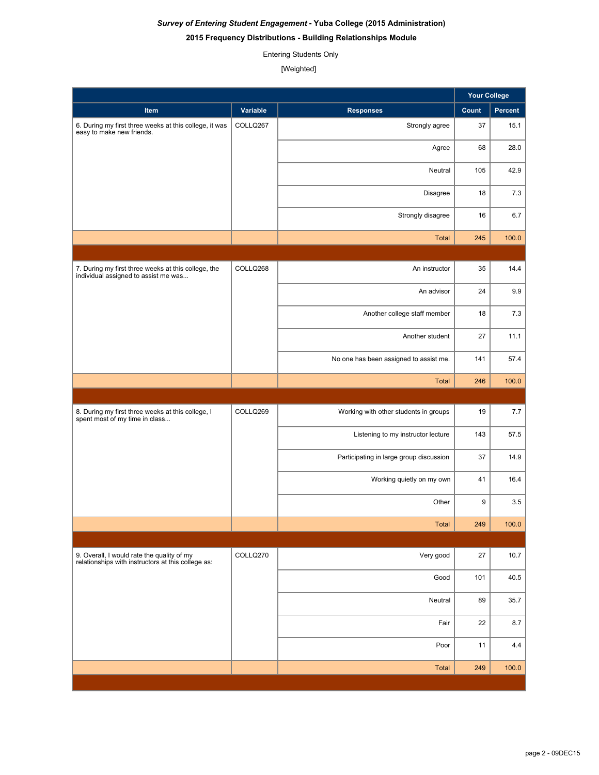## *Survey of Entering Student Engagement* **- Yuba College (2015 Administration)**

### **2015 Frequency Distributions - Building Relationships Module**

Entering Students Only

[Weighted]

|                                                                                                  |          |                                         | <b>Your College</b> |         |
|--------------------------------------------------------------------------------------------------|----------|-----------------------------------------|---------------------|---------|
| Item                                                                                             | Variable | <b>Responses</b>                        | Count               | Percent |
| 6. During my first three weeks at this college, it was<br>easy to make new friends.              | COLLQ267 | Strongly agree                          | 37                  | 15.1    |
|                                                                                                  |          | Agree                                   | 68                  | 28.0    |
|                                                                                                  |          | Neutral                                 | 105                 | 42.9    |
|                                                                                                  |          | Disagree                                | 18                  | 7.3     |
|                                                                                                  |          | Strongly disagree                       | 16                  | 6.7     |
|                                                                                                  |          | <b>Total</b>                            | 245                 | 100.0   |
|                                                                                                  |          |                                         |                     |         |
| 7. During my first three weeks at this college, the<br>individual assigned to assist me was      | COLLQ268 | An instructor                           | 35                  | 14.4    |
|                                                                                                  |          | An advisor                              | 24                  | 9.9     |
|                                                                                                  |          | Another college staff member            | 18                  | 7.3     |
|                                                                                                  |          | Another student                         | 27                  | 11.1    |
|                                                                                                  |          | No one has been assigned to assist me.  | 141                 | 57.4    |
|                                                                                                  |          | <b>Total</b>                            | 246                 | 100.0   |
|                                                                                                  |          |                                         |                     |         |
| 8. During my first three weeks at this college, I<br>spent most of my time in class              | COLLQ269 | Working with other students in groups   | 19                  | 7.7     |
|                                                                                                  |          | Listening to my instructor lecture      | 143                 | 57.5    |
|                                                                                                  |          | Participating in large group discussion | 37                  | 14.9    |
|                                                                                                  |          | Working quietly on my own               | 41                  | 16.4    |
|                                                                                                  |          | Other                                   | 9                   | 3.5     |
|                                                                                                  |          | Total                                   | 249                 | 100.0   |
|                                                                                                  |          |                                         |                     |         |
| 9. Overall, I would rate the quality of my<br>relationships with instructors at this college as: | COLLQ270 | Very good                               | 27                  | 10.7    |
|                                                                                                  |          | Good                                    | 101                 | 40.5    |
|                                                                                                  |          | Neutral                                 | 89                  | 35.7    |
|                                                                                                  |          | Fair                                    | 22                  | 8.7     |
|                                                                                                  |          | Poor                                    | 11                  | 4.4     |
|                                                                                                  |          | Total                                   | 249                 | 100.0   |